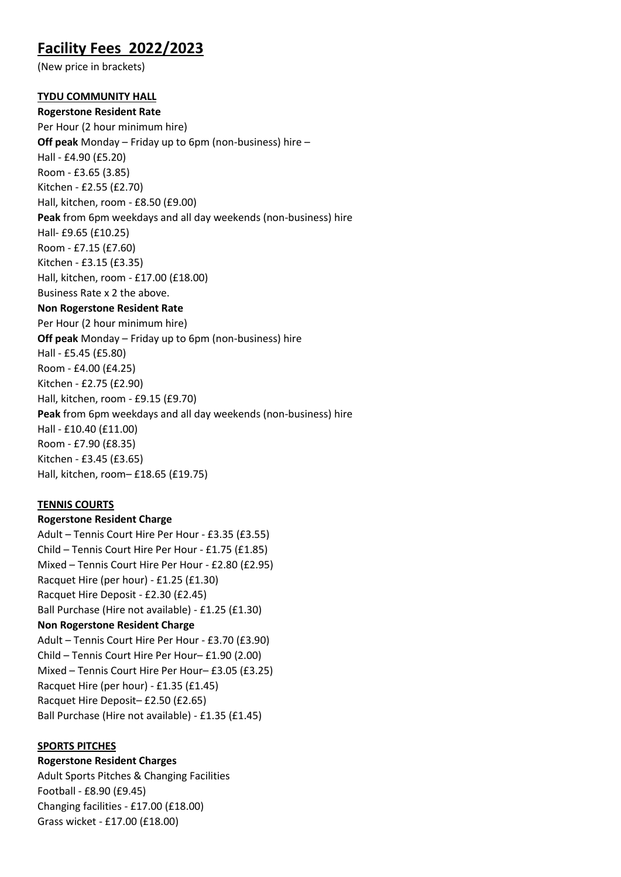# **Facility Fees 2022/2023**

(New price in brackets)

## **TYDU COMMUNITY HALL**

**Rogerstone Resident Rate** Per Hour (2 hour minimum hire) **Off peak** Monday – Friday up to 6pm (non-business) hire – Hall - £4.90 (£5.20) Room - £3.65 (3.85) Kitchen - £2.55 (£2.70) Hall, kitchen, room - £8.50 (£9.00) **Peak** from 6pm weekdays and all day weekends (non-business) hire Hall- £9.65 (£10.25) Room - £7.15 (£7.60) Kitchen - £3.15 (£3.35) Hall, kitchen, room - £17.00 (£18.00) Business Rate x 2 the above. **Non Rogerstone Resident Rate** Per Hour (2 hour minimum hire) **Off peak** Monday – Friday up to 6pm (non-business) hire Hall - £5.45 (£5.80) Room - £4.00 (£4.25) Kitchen - £2.75 (£2.90) Hall, kitchen, room - £9.15 (£9.70) **Peak** from 6pm weekdays and all day weekends (non-business) hire Hall - £10.40 (£11.00) Room - £7.90 (£8.35) Kitchen - £3.45 (£3.65) Hall, kitchen, room– £18.65 (£19.75)

# **TENNIS COURTS**

**Rogerstone Resident Charge** Adult – Tennis Court Hire Per Hour - £3.35 (£3.55) Child – Tennis Court Hire Per Hour - £1.75 (£1.85) Mixed – Tennis Court Hire Per Hour - £2.80 (£2.95) Racquet Hire (per hour) - £1.25 (£1.30) Racquet Hire Deposit - £2.30 (£2.45) Ball Purchase (Hire not available) - £1.25 (£1.30) **Non Rogerstone Resident Charge** Adult – Tennis Court Hire Per Hour - £3.70 (£3.90) Child – Tennis Court Hire Per Hour– £1.90 (2.00) Mixed – Tennis Court Hire Per Hour– £3.05 (£3.25) Racquet Hire (per hour) - £1.35 (£1.45) Racquet Hire Deposit– £2.50 (£2.65) Ball Purchase (Hire not available) - £1.35 (£1.45)

#### **SPORTS PITCHES**

**Rogerstone Resident Charges**

Adult Sports Pitches & Changing Facilities Football - £8.90 (£9.45) Changing facilities - £17.00 (£18.00) Grass wicket - £17.00 (£18.00)